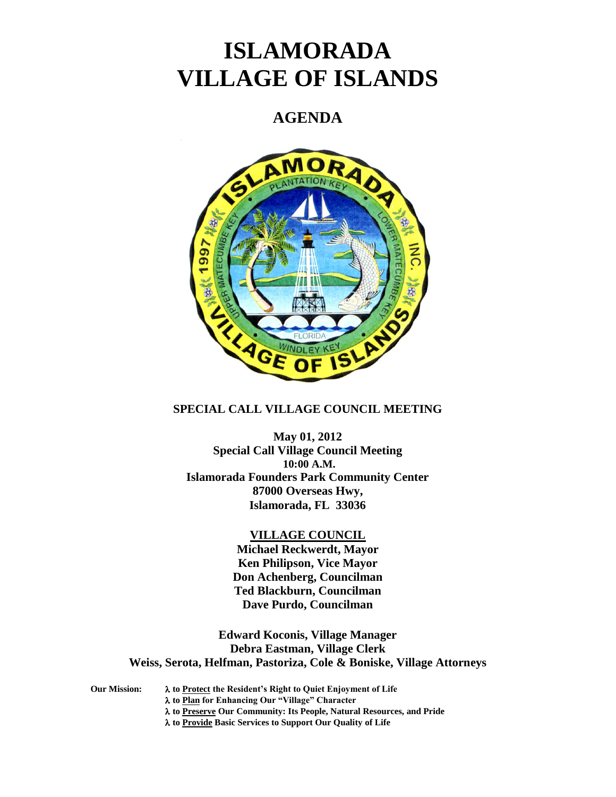# **ISLAMORADA VILLAGE OF ISLANDS**

# **AGENDA**



# **SPECIAL CALL VILLAGE COUNCIL MEETING**

**May 01, 2012 Special Call Village Council Meeting 10:00 A.M. Islamorada Founders Park Community Center 87000 Overseas Hwy, Islamorada, FL 33036**

#### **VILLAGE COUNCIL**

**Michael Reckwerdt, Mayor Ken Philipson, Vice Mayor Don Achenberg, Councilman Ted Blackburn, Councilman Dave Purdo, Councilman**

**Edward Koconis, Village Manager Debra Eastman, Village Clerk Weiss, Serota, Helfman, Pastoriza, Cole & Boniske, Village Attorneys**

**Our Mission: to Protect the Resident's Right to Quiet Enjoyment of Life to Plan for Enhancing Our "Village" Character**

**to Preserve Our Community: Its People, Natural Resources, and Pride**

**to Provide Basic Services to Support Our Quality of Life**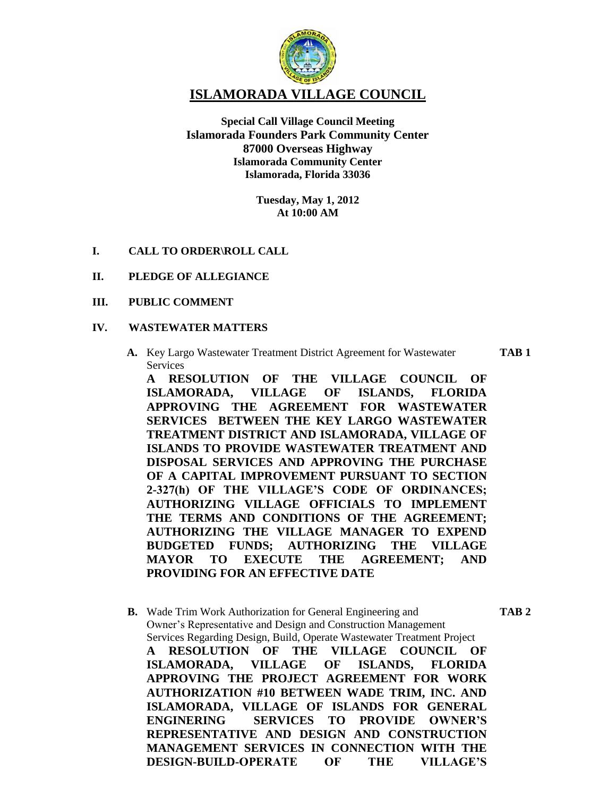

**ISLAMORADA VILLAGE COUNCIL**

**Special Call Village Council Meeting Islamorada Founders Park Community Center 87000 Overseas Highway Islamorada Community Center Islamorada, Florida 33036**

> **Tuesday, May 1, 2012 At 10:00 AM**

**I. CALL TO ORDER\ROLL CALL**

# **II. PLEDGE OF ALLEGIANCE**

# **III. PUBLIC COMMENT**

### **IV. WASTEWATER MATTERS**

**A.** Key Largo Wastewater Treatment District Agreement for Wastewater **TAB 1** Services

**A RESOLUTION OF THE VILLAGE COUNCIL OF ISLAMORADA, VILLAGE OF ISLANDS, FLORIDA APPROVING THE AGREEMENT FOR WASTEWATER SERVICES BETWEEN THE KEY LARGO WASTEWATER TREATMENT DISTRICT AND ISLAMORADA, VILLAGE OF ISLANDS TO PROVIDE WASTEWATER TREATMENT AND DISPOSAL SERVICES AND APPROVING THE PURCHASE OF A CAPITAL IMPROVEMENT PURSUANT TO SECTION 2-327(h) OF THE VILLAGE'S CODE OF ORDINANCES; AUTHORIZING VILLAGE OFFICIALS TO IMPLEMENT THE TERMS AND CONDITIONS OF THE AGREEMENT; AUTHORIZING THE VILLAGE MANAGER TO EXPEND BUDGETED FUNDS; AUTHORIZING THE VILLAGE MAYOR TO EXECUTE THE AGREEMENT; AND PROVIDING FOR AN EFFECTIVE DATE**

**B.** Wade Trim Work Authorization for General Engineering and **TAB 2** Owner's Representative and Design and Construction Management Services Regarding Design, Build, Operate Wastewater Treatment Project **A RESOLUTION OF THE VILLAGE COUNCIL OF ISLAMORADA, VILLAGE OF ISLANDS, FLORIDA APPROVING THE PROJECT AGREEMENT FOR WORK AUTHORIZATION #10 BETWEEN WADE TRIM, INC. AND ISLAMORADA, VILLAGE OF ISLANDS FOR GENERAL ENGINERING SERVICES TO PROVIDE OWNER'S REPRESENTATIVE AND DESIGN AND CONSTRUCTION MANAGEMENT SERVICES IN CONNECTION WITH THE DESIGN-BUILD-OPERATE OF THE VILLAGE'S**